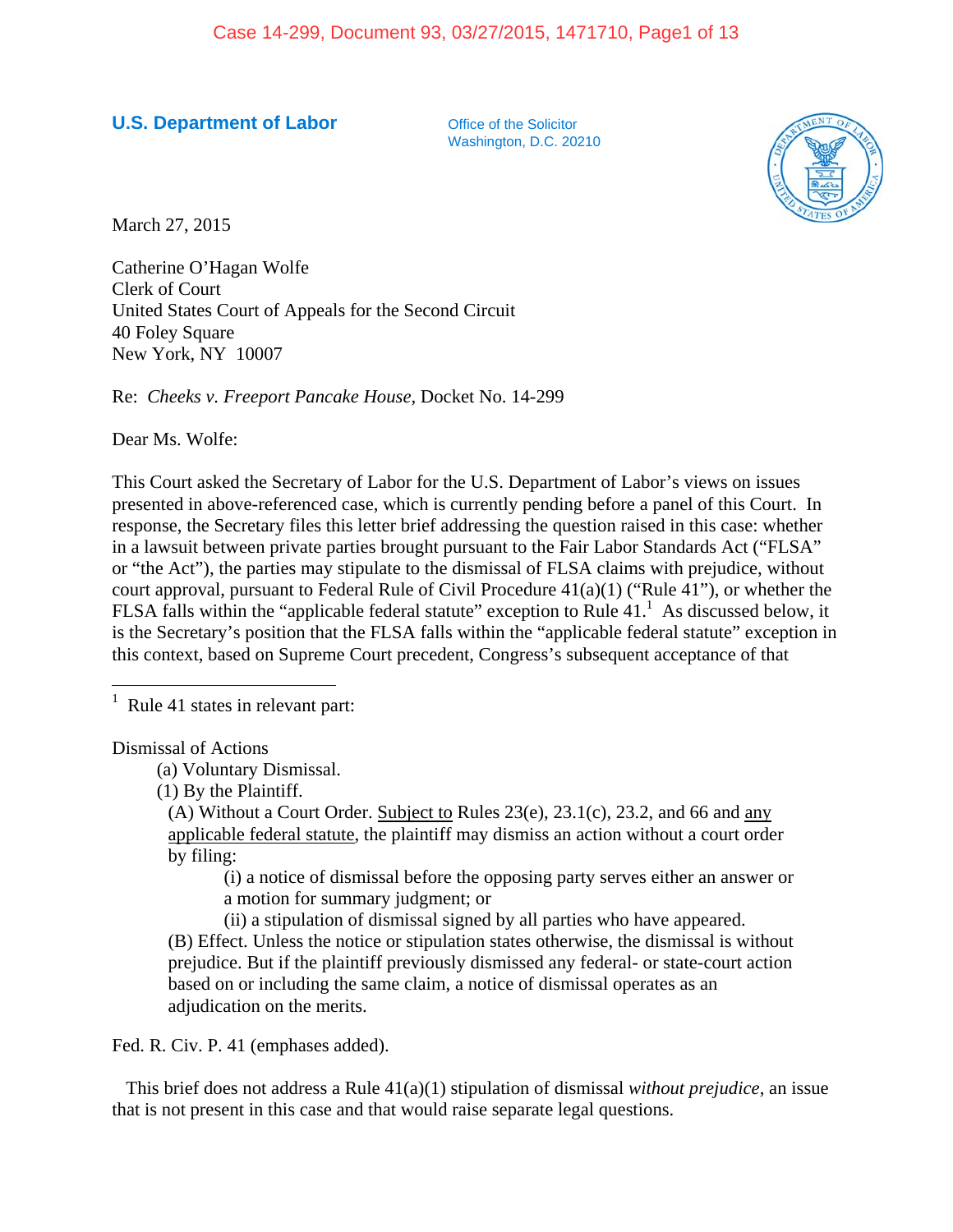#### **U.S. Department of Labor Office of the Solicitor**

Washington, D.C. 20210



March 27, 2015

Catherine O'Hagan Wolfe Clerk of Court United States Court of Appeals for the Second Circuit 40 Foley Square New York, NY 10007

Re: *Cheeks v. Freeport Pancake House*, Docket No. 14-299

Dear Ms. Wolfe:

This Court asked the Secretary of Labor for the U.S. Department of Labor's views on issues presented in above-referenced case, which is currently pending before a panel of this Court. In response, the Secretary files this letter brief addressing the question raised in this case: whether in a lawsuit between private parties brought pursuant to the Fair Labor Standards Act ("FLSA" or "the Act"), the parties may stipulate to the dismissal of FLSA claims with prejudice, without court approval, pursuant to Federal Rule of Civil Procedure 41(a)(1) ("Rule 41"), or whether the FLSA falls within the "applicable federal statute" exception to Rule  $41<sup>1</sup>$ . As discussed below, it is the Secretary's position that the FLSA falls within the "applicable federal statute" exception in this context, based on Supreme Court precedent, Congress's subsequent acceptance of that

<sup>1</sup> Rule 41 states in relevant part:

Dismissal of Actions

(a) Voluntary Dismissal.

(1) By the Plaintiff.

(A) Without a Court Order. Subject to Rules  $23(e)$ ,  $23.1(c)$ ,  $23.2$ , and 66 and any applicable federal statute, the plaintiff may dismiss an action without a court order by filing:

(i) a notice of dismissal before the opposing party serves either an answer or a motion for summary judgment; or

(ii) a stipulation of dismissal signed by all parties who have appeared. (B) Effect. Unless the notice or stipulation states otherwise, the dismissal is without prejudice. But if the plaintiff previously dismissed any federal- or state-court action based on or including the same claim, a notice of dismissal operates as an adjudication on the merits.

Fed. R. Civ. P. 41 (emphases added).

 This brief does not address a Rule 41(a)(1) stipulation of dismissal *without prejudice*, an issue that is not present in this case and that would raise separate legal questions.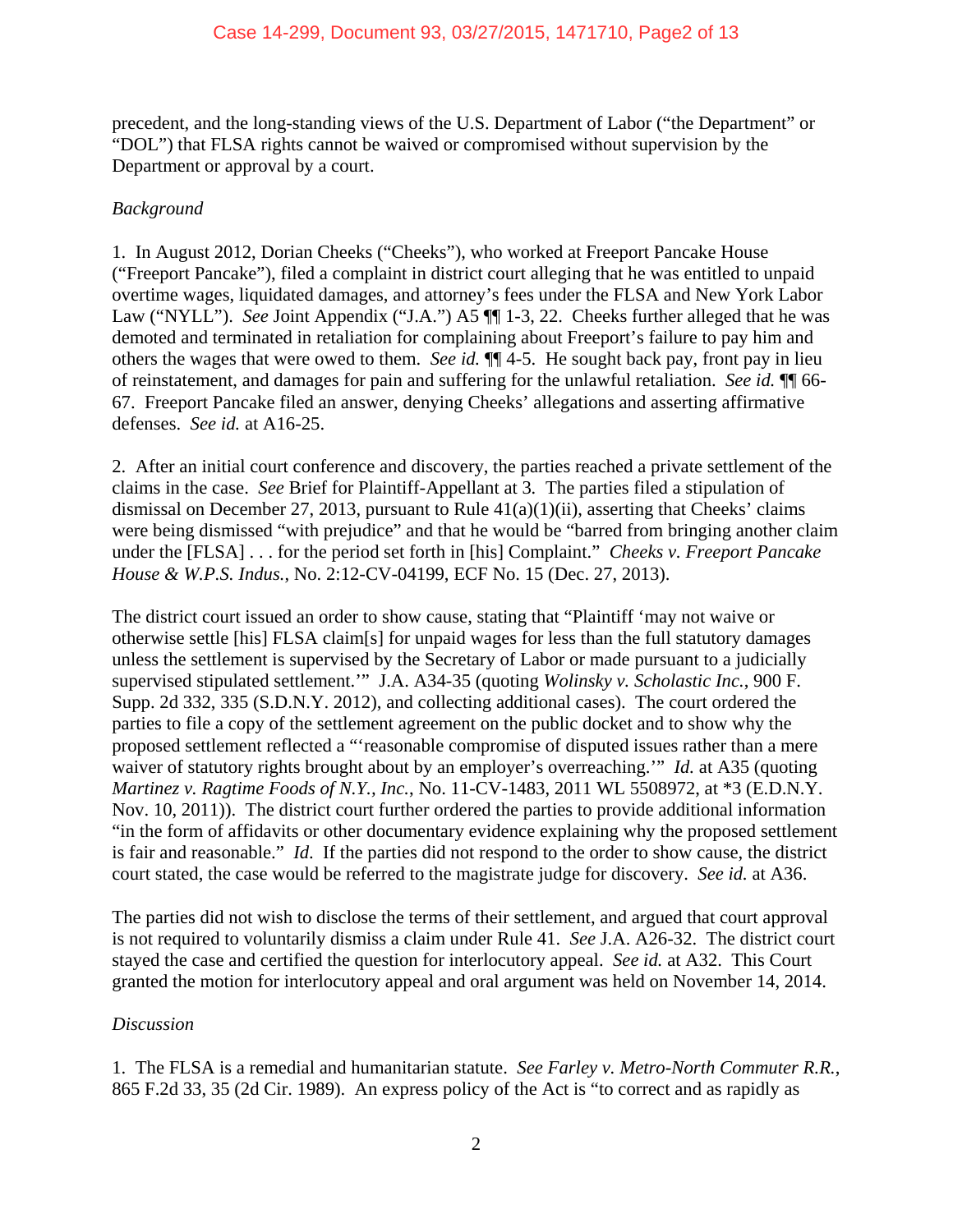precedent, and the long-standing views of the U.S. Department of Labor ("the Department" or "DOL") that FLSA rights cannot be waived or compromised without supervision by the Department or approval by a court.

# *Background*

1. In August 2012, Dorian Cheeks ("Cheeks"), who worked at Freeport Pancake House ("Freeport Pancake"), filed a complaint in district court alleging that he was entitled to unpaid overtime wages, liquidated damages, and attorney's fees under the FLSA and New York Labor Law ("NYLL"). *See* Joint Appendix ("J.A.") A5  $\P$  1-3, 22. Cheeks further alleged that he was demoted and terminated in retaliation for complaining about Freeport's failure to pay him and others the wages that were owed to them. *See id.* ¶¶ 4-5. He sought back pay, front pay in lieu of reinstatement, and damages for pain and suffering for the unlawful retaliation. *See id.* ¶¶ 66- 67. Freeport Pancake filed an answer, denying Cheeks' allegations and asserting affirmative defenses. *See id.* at A16-25.

2. After an initial court conference and discovery, the parties reached a private settlement of the claims in the case. *See* Brief for Plaintiff-Appellant at 3*.* The parties filed a stipulation of dismissal on December 27, 2013, pursuant to Rule  $41(a)(1)(ii)$ , asserting that Cheeks' claims were being dismissed "with prejudice" and that he would be "barred from bringing another claim under the [FLSA] . . . for the period set forth in [his] Complaint." *Cheeks v. Freeport Pancake House & W.P.S. Indus.*, No. 2:12-CV-04199, ECF No. 15 (Dec. 27, 2013).

The district court issued an order to show cause, stating that "Plaintiff 'may not waive or otherwise settle [his] FLSA claim[s] for unpaid wages for less than the full statutory damages unless the settlement is supervised by the Secretary of Labor or made pursuant to a judicially supervised stipulated settlement.'" J.A. A34-35 (quoting *Wolinsky v. Scholastic Inc.*, 900 F. Supp. 2d 332, 335 (S.D.N.Y. 2012), and collecting additional cases). The court ordered the parties to file a copy of the settlement agreement on the public docket and to show why the proposed settlement reflected a "'reasonable compromise of disputed issues rather than a mere waiver of statutory rights brought about by an employer's overreaching." *Id.* at A35 (quoting *Martinez v. Ragtime Foods of N.Y., Inc.*, No. 11-CV-1483, 2011 WL 5508972, at \*3 (E.D.N.Y. Nov. 10, 2011)).The district court further ordered the parties to provide additional information "in the form of affidavits or other documentary evidence explaining why the proposed settlement is fair and reasonable." *Id*. If the parties did not respond to the order to show cause, the district court stated, the case would be referred to the magistrate judge for discovery. *See id.* at A36.

The parties did not wish to disclose the terms of their settlement, and argued that court approval is not required to voluntarily dismiss a claim under Rule 41. *See* J.A. A26-32.The district court stayed the case and certified the question for interlocutory appeal. *See id.* at A32. This Court granted the motion for interlocutory appeal and oral argument was held on November 14, 2014.

## *Discussion*

1. The FLSA is a remedial and humanitarian statute. *See Farley v. Metro-North Commuter R.R.*, 865 F.2d 33, 35 (2d Cir. 1989). An express policy of the Act is "to correct and as rapidly as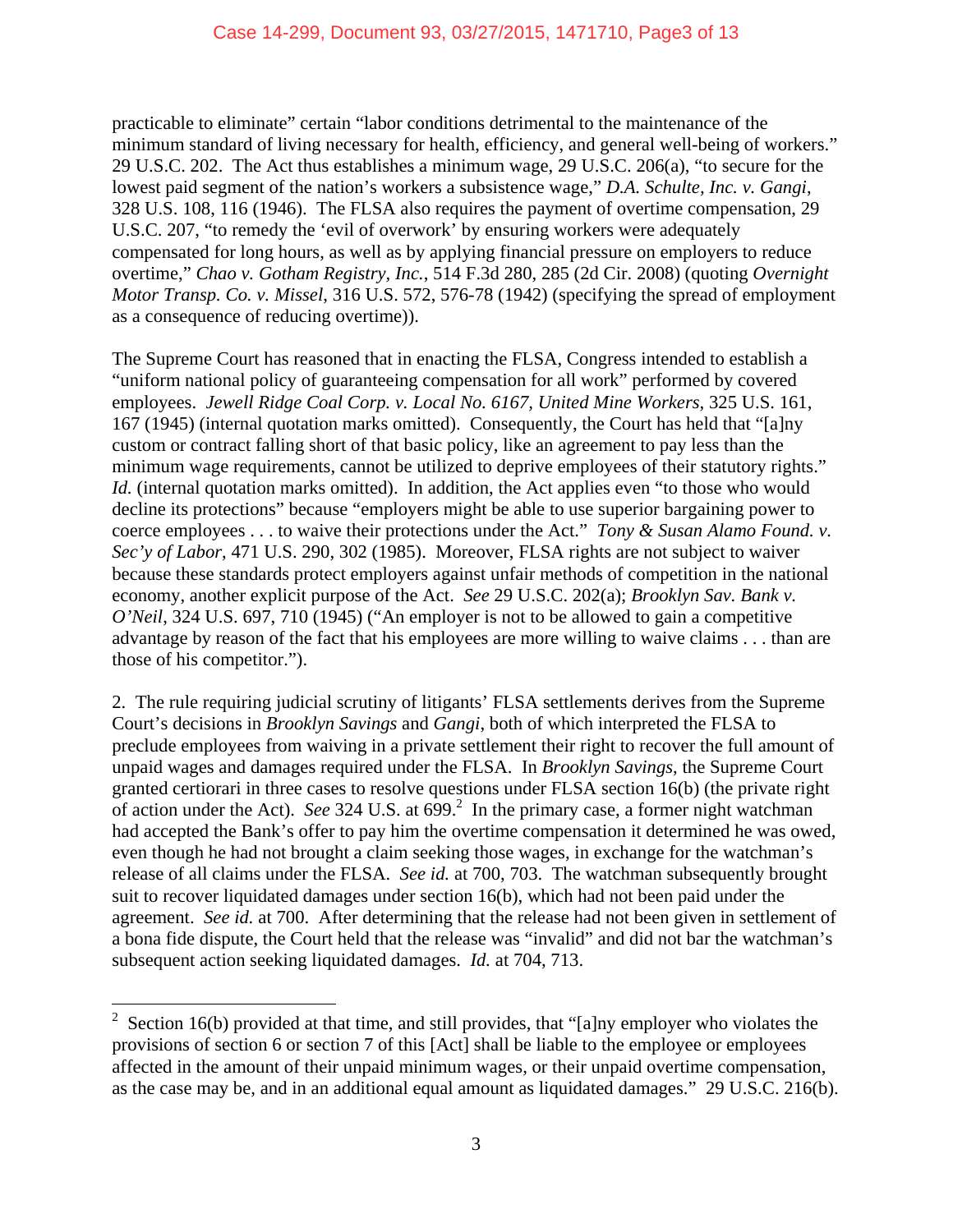practicable to eliminate" certain "labor conditions detrimental to the maintenance of the minimum standard of living necessary for health, efficiency, and general well-being of workers." 29 U.S.C. 202. The Act thus establishes a minimum wage, 29 U.S.C. 206(a), "to secure for the lowest paid segment of the nation's workers a subsistence wage," *D.A. Schulte, Inc. v. Gangi*, 328 U.S. 108, 116 (1946). The FLSA also requires the payment of overtime compensation, 29 U.S.C. 207, "to remedy the 'evil of overwork' by ensuring workers were adequately compensated for long hours, as well as by applying financial pressure on employers to reduce overtime," *Chao v. Gotham Registry, Inc.*, 514 F.3d 280, 285 (2d Cir. 2008) (quoting *Overnight Motor Transp. Co. v. Missel*, 316 U.S. 572, 576-78 (1942) (specifying the spread of employment as a consequence of reducing overtime)).

The Supreme Court has reasoned that in enacting the FLSA, Congress intended to establish a "uniform national policy of guaranteeing compensation for all work" performed by covered employees. *Jewell Ridge Coal Corp. v. Local No. 6167, United Mine Workers*, 325 U.S. 161, 167 (1945) (internal quotation marks omitted). Consequently, the Court has held that "[a]ny custom or contract falling short of that basic policy, like an agreement to pay less than the minimum wage requirements, cannot be utilized to deprive employees of their statutory rights." *Id.* (internal quotation marks omitted). In addition, the Act applies even "to those who would decline its protections" because "employers might be able to use superior bargaining power to coerce employees . . . to waive their protections under the Act." *Tony & Susan Alamo Found. v. Sec'y of Labor*, 471 U.S. 290, 302 (1985). Moreover, FLSA rights are not subject to waiver because these standards protect employers against unfair methods of competition in the national economy, another explicit purpose of the Act. *See* 29 U.S.C. 202(a); *Brooklyn Sav. Bank v. O'Neil*, 324 U.S. 697, 710 (1945) ("An employer is not to be allowed to gain a competitive advantage by reason of the fact that his employees are more willing to waive claims . . . than are those of his competitor.").

2. The rule requiring judicial scrutiny of litigants' FLSA settlements derives from the Supreme Court's decisions in *Brooklyn Savings* and *Gangi*, both of which interpreted the FLSA to preclude employees from waiving in a private settlement their right to recover the full amount of unpaid wages and damages required under the FLSA. In *Brooklyn Savings*, the Supreme Court granted certiorari in three cases to resolve questions under FLSA section 16(b) (the private right of action under the Act). *See* 324 U.S. at  $699<sup>2</sup>$  In the primary case, a former night watchman had accepted the Bank's offer to pay him the overtime compensation it determined he was owed, even though he had not brought a claim seeking those wages, in exchange for the watchman's release of all claims under the FLSA. *See id.* at 700, 703. The watchman subsequently brought suit to recover liquidated damages under section 16(b), which had not been paid under the agreement. *See id.* at 700. After determining that the release had not been given in settlement of a bona fide dispute, the Court held that the release was "invalid" and did not bar the watchman's subsequent action seeking liquidated damages. *Id.* at 704, 713.

 $\overline{a}$ 

<sup>2</sup> Section 16(b) provided at that time, and still provides, that "[a]ny employer who violates the provisions of section 6 or section 7 of this [Act] shall be liable to the employee or employees affected in the amount of their unpaid minimum wages, or their unpaid overtime compensation, as the case may be, and in an additional equal amount as liquidated damages." 29 U.S.C. 216(b).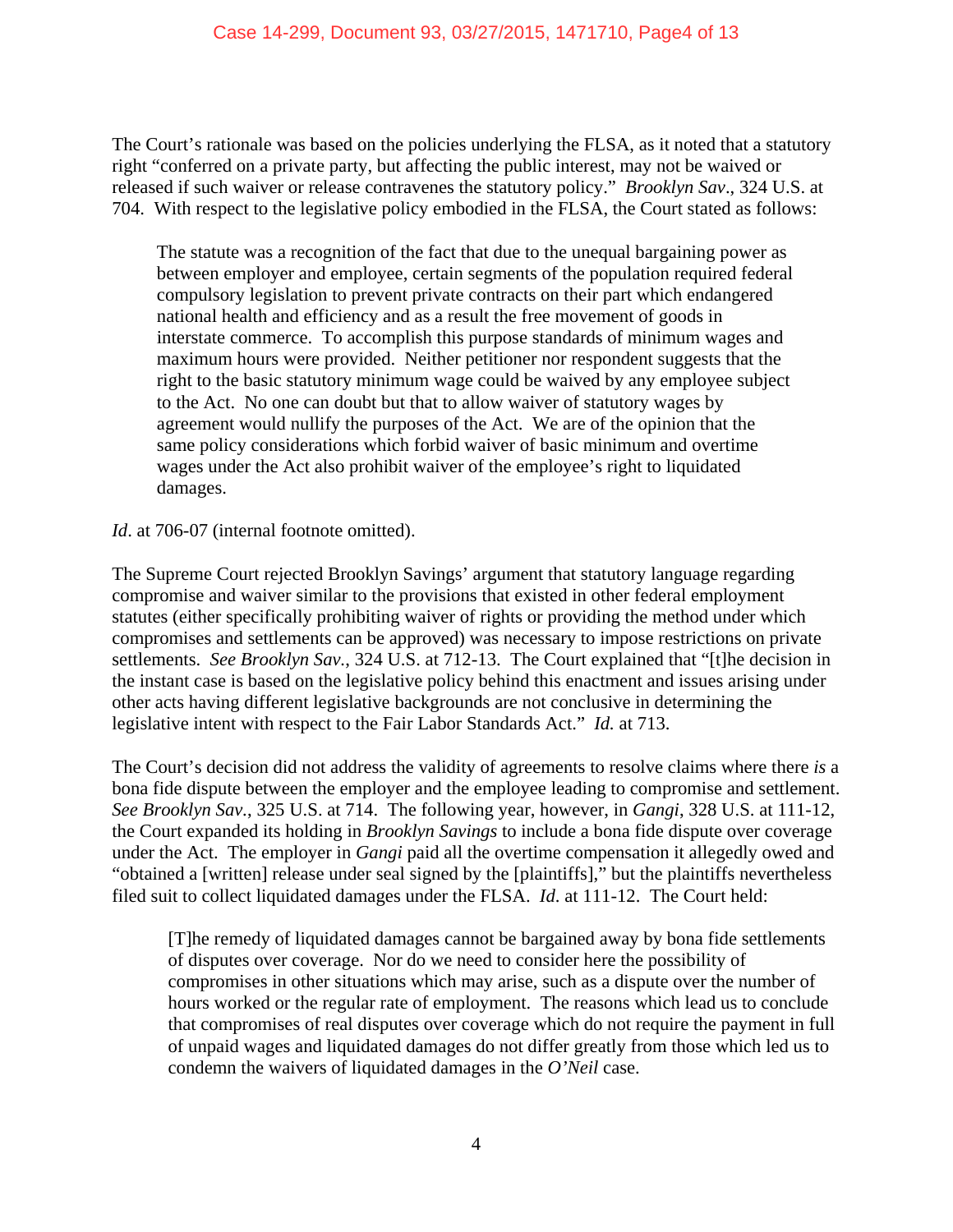The Court's rationale was based on the policies underlying the FLSA, as it noted that a statutory right "conferred on a private party, but affecting the public interest, may not be waived or released if such waiver or release contravenes the statutory policy." *Brooklyn Sav*., 324 U.S. at 704. With respect to the legislative policy embodied in the FLSA, the Court stated as follows:

The statute was a recognition of the fact that due to the unequal bargaining power as between employer and employee, certain segments of the population required federal compulsory legislation to prevent private contracts on their part which endangered national health and efficiency and as a result the free movement of goods in interstate commerce. To accomplish this purpose standards of minimum wages and maximum hours were provided. Neither petitioner nor respondent suggests that the right to the basic statutory minimum wage could be waived by any employee subject to the Act. No one can doubt but that to allow waiver of statutory wages by agreement would nullify the purposes of the Act. We are of the opinion that the same policy considerations which forbid waiver of basic minimum and overtime wages under the Act also prohibit waiver of the employee's right to liquidated damages.

## *Id*. at 706-07 (internal footnote omitted).

The Supreme Court rejected Brooklyn Savings' argument that statutory language regarding compromise and waiver similar to the provisions that existed in other federal employment statutes (either specifically prohibiting waiver of rights or providing the method under which compromises and settlements can be approved) was necessary to impose restrictions on private settlements. *See Brooklyn Sav.*, 324 U.S. at 712-13. The Court explained that "[t]he decision in the instant case is based on the legislative policy behind this enactment and issues arising under other acts having different legislative backgrounds are not conclusive in determining the legislative intent with respect to the Fair Labor Standards Act." *Id.* at 713.

The Court's decision did not address the validity of agreements to resolve claims where there *is* a bona fide dispute between the employer and the employee leading to compromise and settlement. *See Brooklyn Sav.*, 325 U.S. at 714. The following year, however, in *Gangi*, 328 U.S. at 111-12, the Court expanded its holding in *Brooklyn Savings* to include a bona fide dispute over coverage under the Act. The employer in *Gangi* paid all the overtime compensation it allegedly owed and "obtained a [written] release under seal signed by the [plaintiffs]," but the plaintiffs nevertheless filed suit to collect liquidated damages under the FLSA. *Id*. at 111-12. The Court held:

[T]he remedy of liquidated damages cannot be bargained away by bona fide settlements of disputes over coverage. Nor do we need to consider here the possibility of compromises in other situations which may arise, such as a dispute over the number of hours worked or the regular rate of employment. The reasons which lead us to conclude that compromises of real disputes over coverage which do not require the payment in full of unpaid wages and liquidated damages do not differ greatly from those which led us to condemn the waivers of liquidated damages in the *O'Neil* case.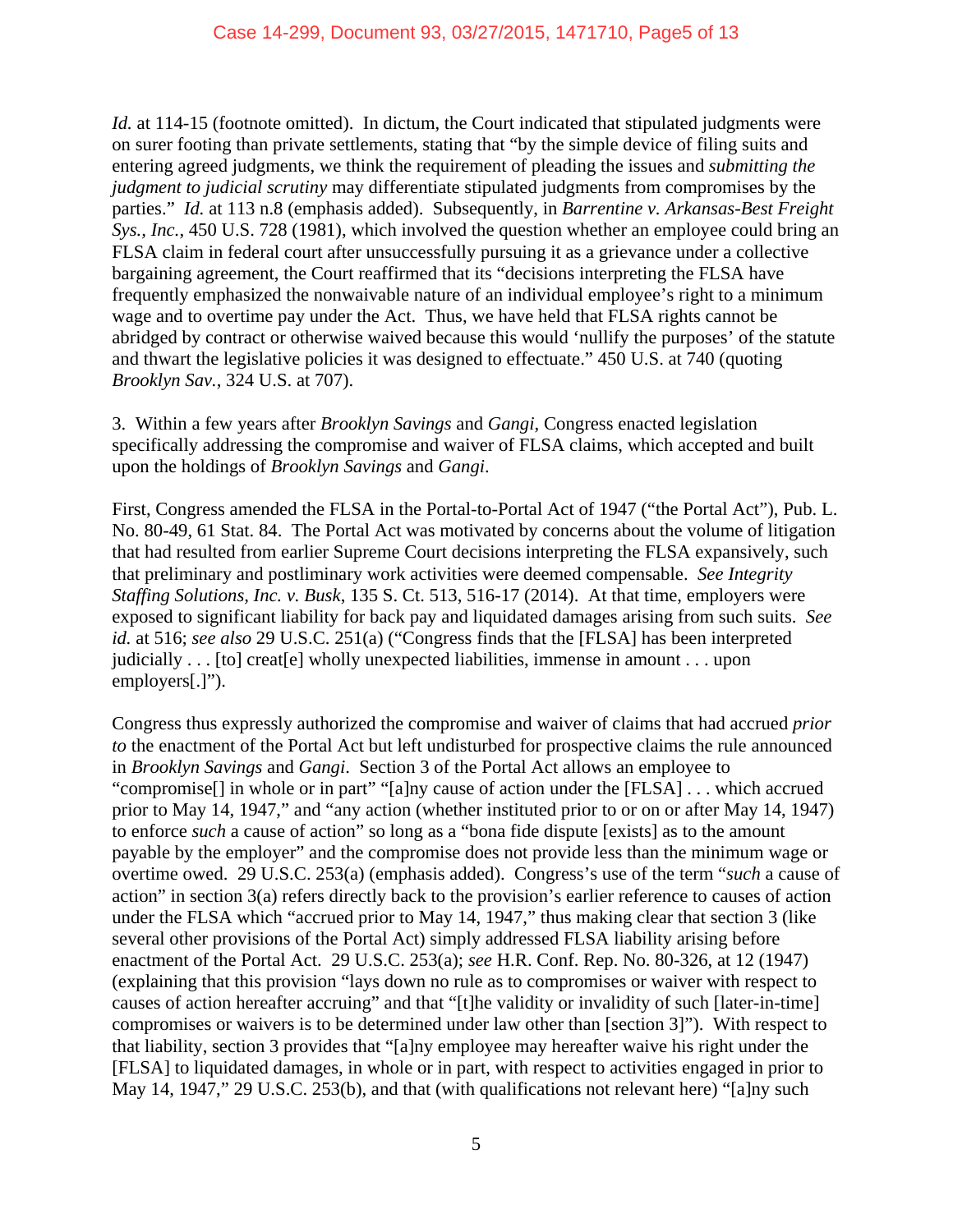*Id.* at 114-15 (footnote omitted). In dictum, the Court indicated that stipulated judgments were on surer footing than private settlements, stating that "by the simple device of filing suits and entering agreed judgments, we think the requirement of pleading the issues and *submitting the judgment to judicial scrutiny* may differentiate stipulated judgments from compromises by the parties." *Id.* at 113 n.8 (emphasis added). Subsequently, in *Barrentine v. Arkansas-Best Freight Sys., Inc.*, 450 U.S. 728 (1981), which involved the question whether an employee could bring an FLSA claim in federal court after unsuccessfully pursuing it as a grievance under a collective bargaining agreement, the Court reaffirmed that its "decisions interpreting the FLSA have frequently emphasized the nonwaivable nature of an individual employee's right to a minimum wage and to overtime pay under the Act. Thus, we have held that FLSA rights cannot be abridged by contract or otherwise waived because this would 'nullify the purposes' of the statute and thwart the legislative policies it was designed to effectuate." 450 U.S. at 740 (quoting *Brooklyn Sav.*, 324 U.S. at 707).

3. Within a few years after *Brooklyn Savings* and *Gangi*, Congress enacted legislation specifically addressing the compromise and waiver of FLSA claims, which accepted and built upon the holdings of *Brooklyn Savings* and *Gangi*.

First, Congress amended the FLSA in the Portal-to-Portal Act of 1947 ("the Portal Act"), Pub. L. No. 80-49, 61 Stat. 84. The Portal Act was motivated by concerns about the volume of litigation that had resulted from earlier Supreme Court decisions interpreting the FLSA expansively, such that preliminary and postliminary work activities were deemed compensable. *See Integrity Staffing Solutions, Inc. v. Busk*, 135 S. Ct. 513, 516-17 (2014). At that time, employers were exposed to significant liability for back pay and liquidated damages arising from such suits. *See id.* at 516; *see also* 29 U.S.C. 251(a) ("Congress finds that the [FLSA] has been interpreted judicially . . . [to] creat[e] wholly unexpected liabilities, immense in amount . . . upon employers[.]").

Congress thus expressly authorized the compromise and waiver of claims that had accrued *prior to* the enactment of the Portal Act but left undisturbed for prospective claims the rule announced in *Brooklyn Savings* and *Gangi*. Section 3 of the Portal Act allows an employee to "compromise[] in whole or in part" "[a]ny cause of action under the [FLSA] . . . which accrued prior to May 14, 1947," and "any action (whether instituted prior to or on or after May 14, 1947) to enforce *such* a cause of action" so long as a "bona fide dispute [exists] as to the amount payable by the employer" and the compromise does not provide less than the minimum wage or overtime owed. 29 U.S.C. 253(a) (emphasis added). Congress's use of the term "*such* a cause of action" in section 3(a) refers directly back to the provision's earlier reference to causes of action under the FLSA which "accrued prior to May 14, 1947," thus making clear that section 3 (like several other provisions of the Portal Act) simply addressed FLSA liability arising before enactment of the Portal Act. 29 U.S.C. 253(a); *see* H.R. Conf. Rep. No. 80-326, at 12 (1947) (explaining that this provision "lays down no rule as to compromises or waiver with respect to causes of action hereafter accruing" and that "[t]he validity or invalidity of such [later-in-time] compromises or waivers is to be determined under law other than [section 3]"). With respect to that liability, section 3 provides that "[a]ny employee may hereafter waive his right under the [FLSA] to liquidated damages, in whole or in part, with respect to activities engaged in prior to May 14, 1947," 29 U.S.C. 253(b), and that (with qualifications not relevant here) "[a]ny such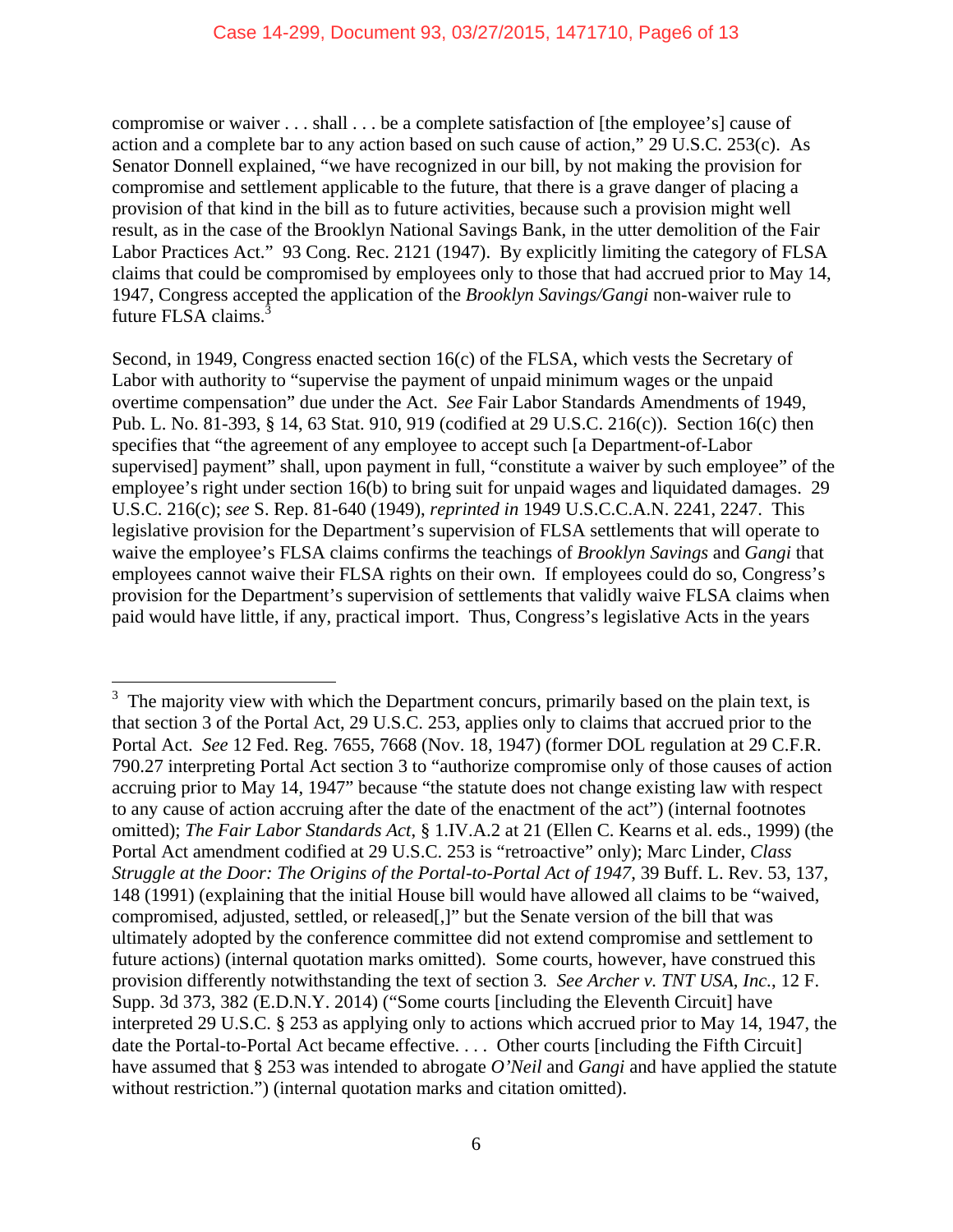compromise or waiver . . . shall . . . be a complete satisfaction of [the employee's] cause of action and a complete bar to any action based on such cause of action," 29 U.S.C. 253(c). As Senator Donnell explained, "we have recognized in our bill, by not making the provision for compromise and settlement applicable to the future, that there is a grave danger of placing a provision of that kind in the bill as to future activities, because such a provision might well result, as in the case of the Brooklyn National Savings Bank, in the utter demolition of the Fair Labor Practices Act." 93 Cong. Rec. 2121 (1947). By explicitly limiting the category of FLSA claims that could be compromised by employees only to those that had accrued prior to May 14, 1947, Congress accepted the application of the *Brooklyn Savings/Gangi* non-waiver rule to future FLSA claims.<sup>3</sup>

Second, in 1949, Congress enacted section 16(c) of the FLSA, which vests the Secretary of Labor with authority to "supervise the payment of unpaid minimum wages or the unpaid overtime compensation" due under the Act. *See* Fair Labor Standards Amendments of 1949, Pub. L. No. 81-393, § 14, 63 Stat. 910, 919 (codified at 29 U.S.C. 216(c)). Section 16(c) then specifies that "the agreement of any employee to accept such [a Department-of-Labor supervised] payment" shall, upon payment in full, "constitute a waiver by such employee" of the employee's right under section 16(b) to bring suit for unpaid wages and liquidated damages. 29 U.S.C. 216(c); *see* S. Rep. 81-640 (1949), *reprinted in* 1949 U.S.C.C.A.N. 2241, 2247. This legislative provision for the Department's supervision of FLSA settlements that will operate to waive the employee's FLSA claims confirms the teachings of *Brooklyn Savings* and *Gangi* that employees cannot waive their FLSA rights on their own. If employees could do so, Congress's provision for the Department's supervision of settlements that validly waive FLSA claims when paid would have little, if any, practical import. Thus, Congress's legislative Acts in the years

<sup>&</sup>lt;sup>3</sup> The majority view with which the Department concurs, primarily based on the plain text, is that section 3 of the Portal Act, 29 U.S.C. 253, applies only to claims that accrued prior to the Portal Act. *See* 12 Fed. Reg. 7655, 7668 (Nov. 18, 1947) (former DOL regulation at 29 C.F.R. 790.27 interpreting Portal Act section 3 to "authorize compromise only of those causes of action accruing prior to May 14, 1947" because "the statute does not change existing law with respect to any cause of action accruing after the date of the enactment of the act") (internal footnotes omitted); *The Fair Labor Standards Act*, § 1.IV.A.2 at 21 (Ellen C. Kearns et al. eds., 1999) (the Portal Act amendment codified at 29 U.S.C. 253 is "retroactive" only); Marc Linder, *Class Struggle at the Door: The Origins of the Portal-to-Portal Act of 1947*, 39 Buff. L. Rev. 53, 137, 148 (1991) (explaining that the initial House bill would have allowed all claims to be "waived, compromised, adjusted, settled, or released[,]" but the Senate version of the bill that was ultimately adopted by the conference committee did not extend compromise and settlement to future actions) (internal quotation marks omitted). Some courts, however, have construed this provision differently notwithstanding the text of section 3*. See Archer v. TNT USA*, *Inc.*, 12 F. Supp. 3d 373, 382 (E.D.N.Y. 2014) ("Some courts [including the Eleventh Circuit] have interpreted 29 U.S.C. § 253 as applying only to actions which accrued prior to May 14, 1947, the date the Portal-to-Portal Act became effective. . . . Other courts [including the Fifth Circuit] have assumed that § 253 was intended to abrogate *O'Neil* and *Gangi* and have applied the statute without restriction.") (internal quotation marks and citation omitted).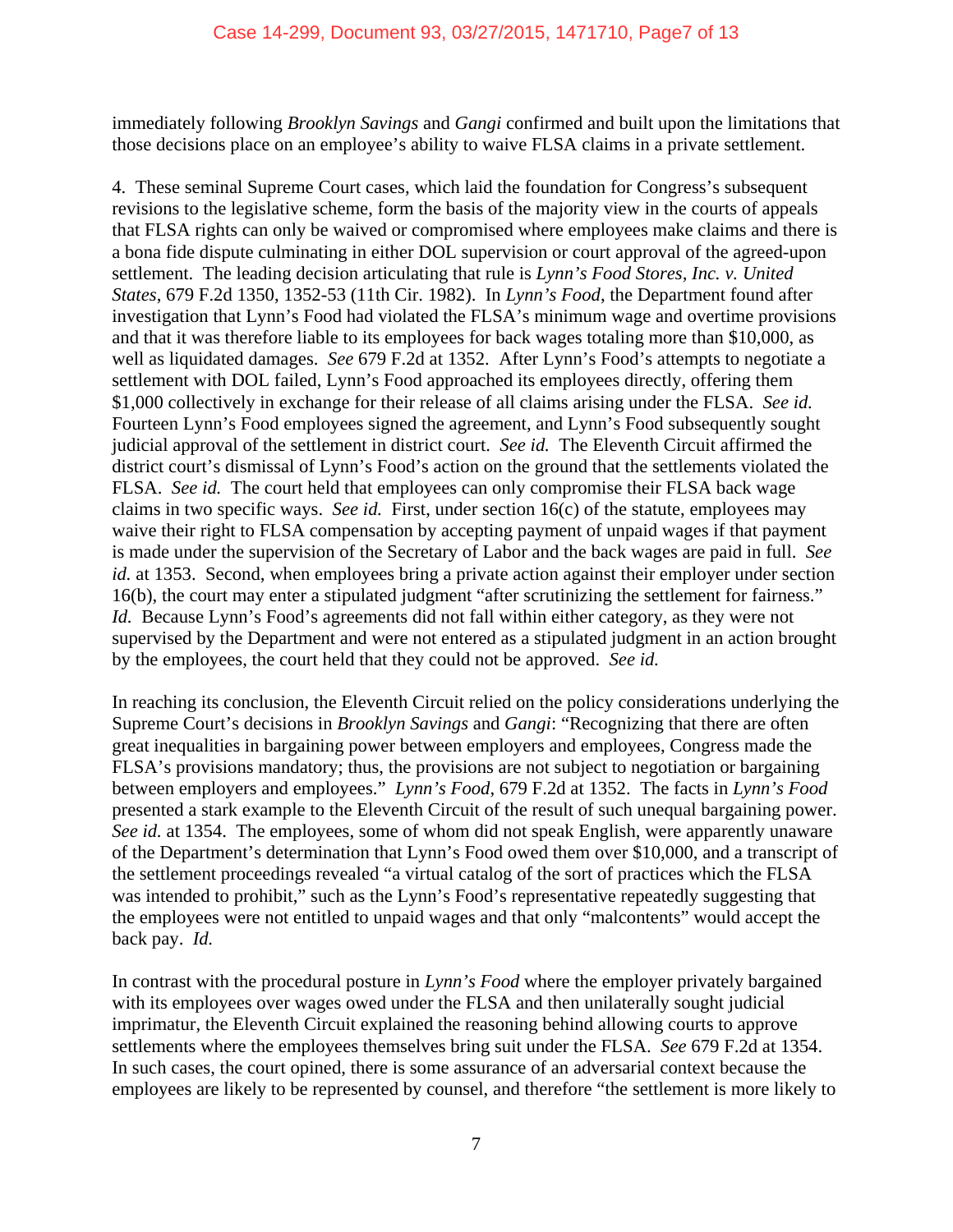immediately following *Brooklyn Savings* and *Gangi* confirmed and built upon the limitations that those decisions place on an employee's ability to waive FLSA claims in a private settlement.

4. These seminal Supreme Court cases, which laid the foundation for Congress's subsequent revisions to the legislative scheme, form the basis of the majority view in the courts of appeals that FLSA rights can only be waived or compromised where employees make claims and there is a bona fide dispute culminating in either DOL supervision or court approval of the agreed-upon settlement. The leading decision articulating that rule is *Lynn's Food Stores, Inc. v. United States*, 679 F.2d 1350, 1352-53 (11th Cir. 1982). In *Lynn's Food*, the Department found after investigation that Lynn's Food had violated the FLSA's minimum wage and overtime provisions and that it was therefore liable to its employees for back wages totaling more than \$10,000, as well as liquidated damages. *See* 679 F.2d at 1352.After Lynn's Food's attempts to negotiate a settlement with DOL failed, Lynn's Food approached its employees directly, offering them \$1,000 collectively in exchange for their release of all claims arising under the FLSA. *See id.* Fourteen Lynn's Food employees signed the agreement, and Lynn's Food subsequently sought judicial approval of the settlement in district court. *See id.* The Eleventh Circuit affirmed the district court's dismissal of Lynn's Food's action on the ground that the settlements violated the FLSA. *See id.* The court held that employees can only compromise their FLSA back wage claims in two specific ways. *See id.* First, under section 16(c) of the statute, employees may waive their right to FLSA compensation by accepting payment of unpaid wages if that payment is made under the supervision of the Secretary of Labor and the back wages are paid in full. *See id.* at 1353. Second, when employees bring a private action against their employer under section 16(b), the court may enter a stipulated judgment "after scrutinizing the settlement for fairness." *Id.* Because Lynn's Food's agreements did not fall within either category, as they were not supervised by the Department and were not entered as a stipulated judgment in an action brought by the employees, the court held that they could not be approved. *See id.* 

In reaching its conclusion, the Eleventh Circuit relied on the policy considerations underlying the Supreme Court's decisions in *Brooklyn Savings* and *Gangi*: "Recognizing that there are often great inequalities in bargaining power between employers and employees, Congress made the FLSA's provisions mandatory; thus, the provisions are not subject to negotiation or bargaining between employers and employees." *Lynn's Food*, 679 F.2d at 1352. The facts in *Lynn's Food*  presented a stark example to the Eleventh Circuit of the result of such unequal bargaining power. *See id.* at 1354. The employees, some of whom did not speak English, were apparently unaware of the Department's determination that Lynn's Food owed them over \$10,000, and a transcript of the settlement proceedings revealed "a virtual catalog of the sort of practices which the FLSA was intended to prohibit," such as the Lynn's Food's representative repeatedly suggesting that the employees were not entitled to unpaid wages and that only "malcontents" would accept the back pay. *Id.*

In contrast with the procedural posture in *Lynn's Food* where the employer privately bargained with its employees over wages owed under the FLSA and then unilaterally sought judicial imprimatur, the Eleventh Circuit explained the reasoning behind allowing courts to approve settlements where the employees themselves bring suit under the FLSA. *See* 679 F.2d at 1354. In such cases, the court opined, there is some assurance of an adversarial context because the employees are likely to be represented by counsel, and therefore "the settlement is more likely to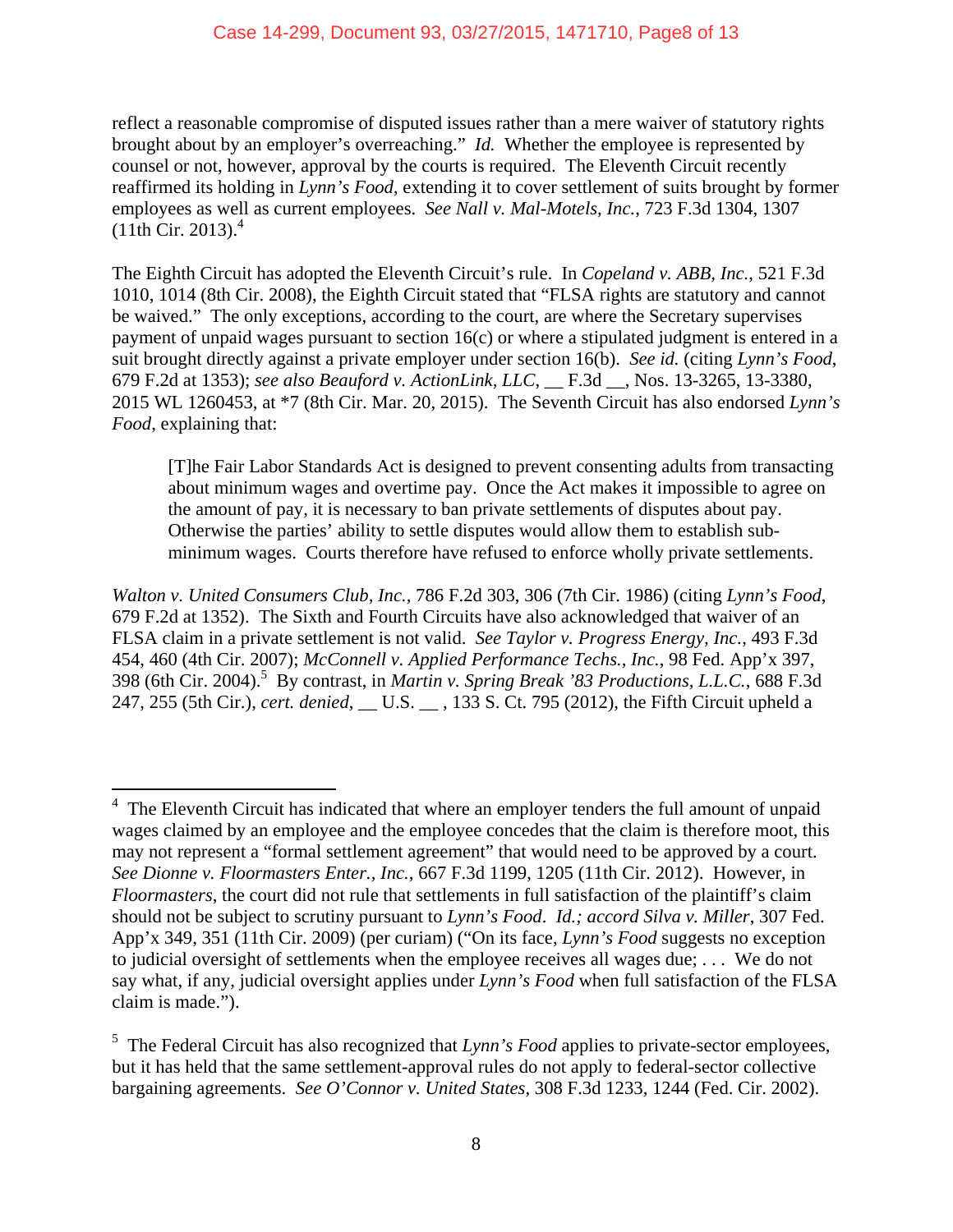reflect a reasonable compromise of disputed issues rather than a mere waiver of statutory rights brought about by an employer's overreaching." *Id.* Whether the employee is represented by counsel or not, however, approval by the courts is required. The Eleventh Circuit recently reaffirmed its holding in *Lynn's Food*, extending it to cover settlement of suits brought by former employees as well as current employees. *See Nall v. Mal-Motels, Inc.*, 723 F.3d 1304, 1307  $(11th Cir. 2013).<sup>4</sup>$ 

The Eighth Circuit has adopted the Eleventh Circuit's rule. In *Copeland v. ABB, Inc.*, 521 F.3d 1010, 1014 (8th Cir. 2008), the Eighth Circuit stated that "FLSA rights are statutory and cannot be waived." The only exceptions, according to the court, are where the Secretary supervises payment of unpaid wages pursuant to section 16(c) or where a stipulated judgment is entered in a suit brought directly against a private employer under section 16(b). *See id.* (citing *Lynn's Food*, 679 F.2d at 1353); *see also Beauford v. ActionLink, LLC*, \_\_ F.3d \_\_, Nos. 13-3265, 13-3380, 2015 WL 1260453, at \*7 (8th Cir. Mar. 20, 2015). The Seventh Circuit has also endorsed *Lynn's Food*, explaining that:

[T]he Fair Labor Standards Act is designed to prevent consenting adults from transacting about minimum wages and overtime pay. Once the Act makes it impossible to agree on the amount of pay, it is necessary to ban private settlements of disputes about pay. Otherwise the parties' ability to settle disputes would allow them to establish subminimum wages. Courts therefore have refused to enforce wholly private settlements.

*Walton v. United Consumers Club, Inc.,* 786 F.2d 303, 306 (7th Cir. 1986) (citing *Lynn's Food*, 679 F.2d at 1352). The Sixth and Fourth Circuits have also acknowledged that waiver of an FLSA claim in a private settlement is not valid. *See Taylor v. Progress Energy, Inc.*, 493 F.3d 454, 460 (4th Cir. 2007); *McConnell v. Applied Performance Techs., Inc.,* 98 Fed. App'x 397, 398 (6th Cir. 2004).<sup>5</sup> By contrast, in *Martin v. Spring Break '83 Productions, L.L.C.*, 688 F.3d 247, 255 (5th Cir.), *cert. denied*, \_\_ U.S. \_\_ , 133 S. Ct. 795 (2012), the Fifth Circuit upheld a

<sup>1</sup> <sup>4</sup> The Eleventh Circuit has indicated that where an employer tenders the full amount of unpaid wages claimed by an employee and the employee concedes that the claim is therefore moot, this may not represent a "formal settlement agreement" that would need to be approved by a court. *See Dionne v. Floormasters Enter., Inc.*, 667 F.3d 1199, 1205 (11th Cir. 2012). However, in *Floormasters*, the court did not rule that settlements in full satisfaction of the plaintiff's claim should not be subject to scrutiny pursuant to *Lynn's Food*. *Id.; accord Silva v. Miller*, 307 Fed. App'x 349, 351 (11th Cir. 2009) (per curiam) ("On its face, *Lynn's Food* suggests no exception to judicial oversight of settlements when the employee receives all wages due; . . . We do not say what, if any, judicial oversight applies under *Lynn's Food* when full satisfaction of the FLSA claim is made.").

<sup>&</sup>lt;sup>5</sup> The Federal Circuit has also recognized that *Lynn's Food* applies to private-sector employees, but it has held that the same settlement-approval rules do not apply to federal-sector collective bargaining agreements. *See O'Connor v. United States*, 308 F.3d 1233, 1244 (Fed. Cir. 2002).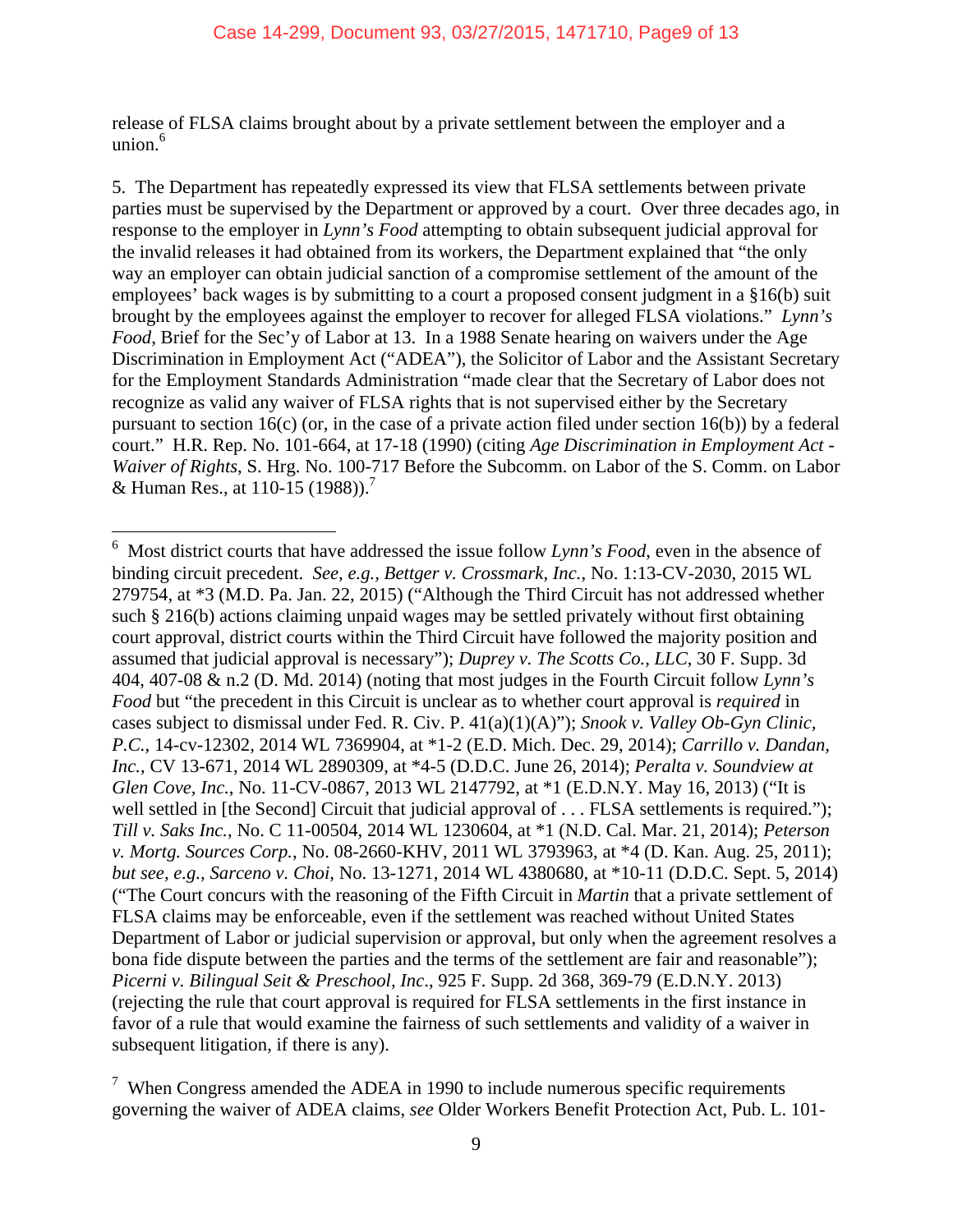release of FLSA claims brought about by a private settlement between the employer and a union.<sup>6</sup>

5. The Department has repeatedly expressed its view that FLSA settlements between private parties must be supervised by the Department or approved by a court. Over three decades ago, in response to the employer in *Lynn's Food* attempting to obtain subsequent judicial approval for the invalid releases it had obtained from its workers, the Department explained that "the only way an employer can obtain judicial sanction of a compromise settlement of the amount of the employees' back wages is by submitting to a court a proposed consent judgment in a §16(b) suit brought by the employees against the employer to recover for alleged FLSA violations." *Lynn's Food*, Brief for the Sec'y of Labor at 13. In a 1988 Senate hearing on waivers under the Age Discrimination in Employment Act ("ADEA"), the Solicitor of Labor and the Assistant Secretary for the Employment Standards Administration "made clear that the Secretary of Labor does not recognize as valid any waiver of FLSA rights that is not supervised either by the Secretary pursuant to section 16(c) (or, in the case of a private action filed under section 16(b)) by a federal court." H.R. Rep. No. 101-664, at 17-18 (1990) (citing *Age Discrimination in Employment Act - Waiver of Rights*, S. Hrg. No. 100-717 Before the Subcomm. on Labor of the S. Comm. on Labor & Human Res., at  $110-15$  (1988)).<sup>7</sup>

 $\overline{a}$ 

<sup>6</sup> Most district courts that have addressed the issue follow *Lynn's Food*, even in the absence of binding circuit precedent. *See, e.g., Bettger v. Crossmark, Inc.*, No. 1:13-CV-2030, 2015 WL 279754, at \*3 (M.D. Pa. Jan. 22, 2015) ("Although the Third Circuit has not addressed whether such § 216(b) actions claiming unpaid wages may be settled privately without first obtaining court approval, district courts within the Third Circuit have followed the majority position and assumed that judicial approval is necessary"); *Duprey v. The Scotts Co., LLC*, 30 F. Supp. 3d 404, 407-08 & n.2 (D. Md. 2014) (noting that most judges in the Fourth Circuit follow *Lynn's Food* but "the precedent in this Circuit is unclear as to whether court approval is *required* in cases subject to dismissal under Fed. R. Civ. P. 41(a)(1)(A)"); *Snook v. Valley Ob-Gyn Clinic, P.C.*, 14-cv-12302, 2014 WL 7369904, at \*1-2 (E.D. Mich. Dec. 29, 2014); *Carrillo v. Dandan, Inc.*, CV 13-671, 2014 WL 2890309, at \*4-5 (D.D.C. June 26, 2014); *Peralta v. Soundview at Glen Cove, Inc.*, No. 11-CV-0867, 2013 WL 2147792, at \*1 (E.D.N.Y. May 16, 2013) ("It is well settled in [the Second] Circuit that judicial approval of . . . FLSA settlements is required."); *Till v. Saks Inc.*, No. C 11-00504, 2014 WL 1230604, at \*1 (N.D. Cal. Mar. 21, 2014); *Peterson v. Mortg. Sources Corp.*, No. 08-2660-KHV, 2011 WL 3793963, at \*4 (D. Kan. Aug. 25, 2011); *but see, e.g., Sarceno v. Choi*, No. 13-1271, 2014 WL 4380680, at \*10-11 (D.D.C. Sept. 5, 2014) ("The Court concurs with the reasoning of the Fifth Circuit in *Martin* that a private settlement of FLSA claims may be enforceable, even if the settlement was reached without United States Department of Labor or judicial supervision or approval, but only when the agreement resolves a bona fide dispute between the parties and the terms of the settlement are fair and reasonable"); *Picerni v. Bilingual Seit & Preschool, Inc*., 925 F. Supp. 2d 368, 369-79 (E.D.N.Y. 2013) (rejecting the rule that court approval is required for FLSA settlements in the first instance in favor of a rule that would examine the fairness of such settlements and validity of a waiver in subsequent litigation, if there is any).

 $\frac{7}{1}$  When Congress amended the ADEA in 1990 to include numerous specific requirements governing the waiver of ADEA claims, *see* Older Workers Benefit Protection Act, Pub. L. 101-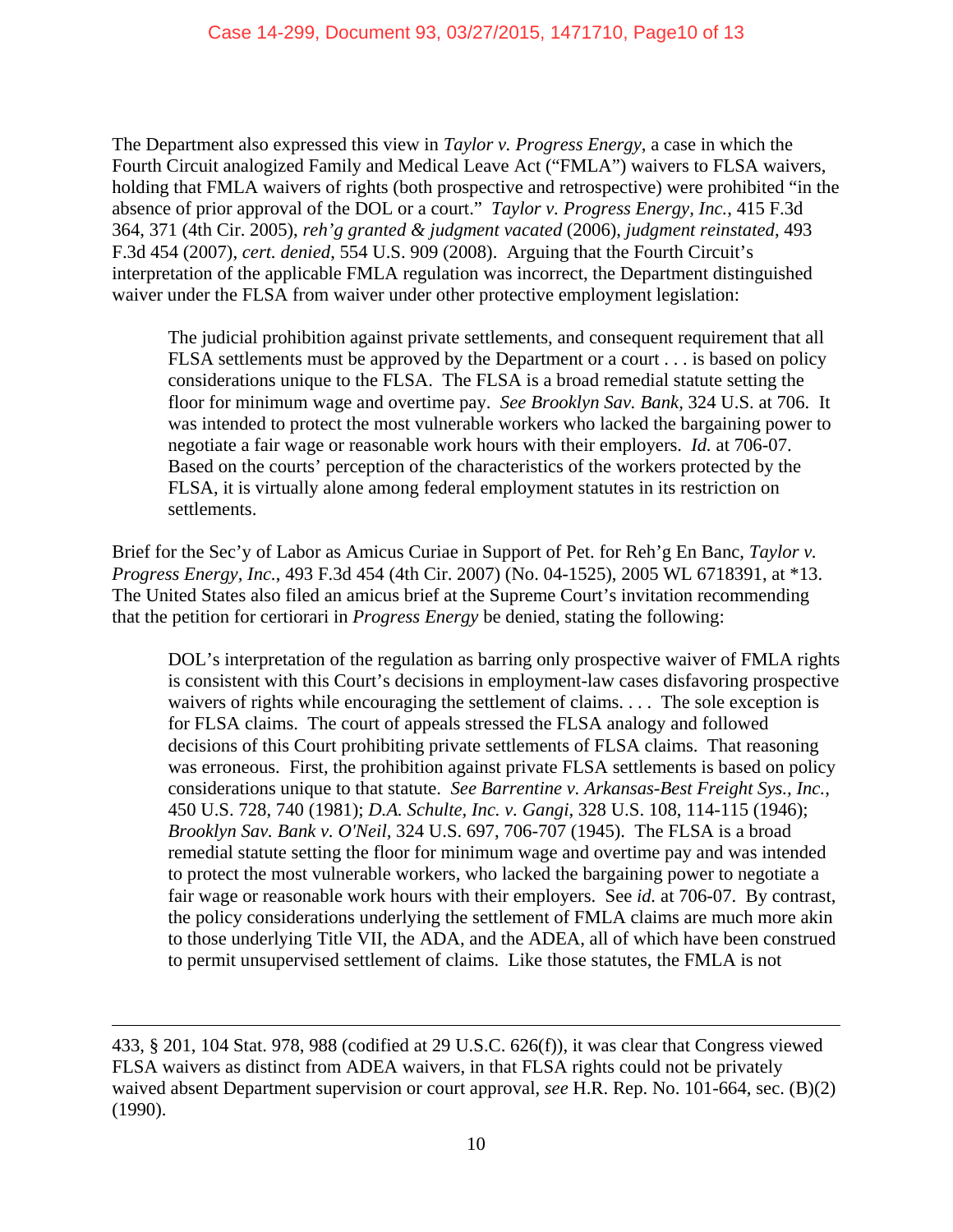The Department also expressed this view in *Taylor v. Progress Energy*, a case in which the Fourth Circuit analogized Family and Medical Leave Act ("FMLA") waivers to FLSA waivers, holding that FMLA waivers of rights (both prospective and retrospective) were prohibited "in the absence of prior approval of the DOL or a court." *Taylor v. Progress Energy, Inc.*, 415 F.3d 364, 371 (4th Cir. 2005), *reh'g granted & judgment vacated* (2006), *judgment reinstated*, 493 F.3d 454 (2007), *cert. denied*, 554 U.S. 909 (2008). Arguing that the Fourth Circuit's interpretation of the applicable FMLA regulation was incorrect, the Department distinguished waiver under the FLSA from waiver under other protective employment legislation:

The judicial prohibition against private settlements, and consequent requirement that all FLSA settlements must be approved by the Department or a court . . . is based on policy considerations unique to the FLSA. The FLSA is a broad remedial statute setting the floor for minimum wage and overtime pay. *See Brooklyn Sav. Bank,* 324 U.S. at 706. It was intended to protect the most vulnerable workers who lacked the bargaining power to negotiate a fair wage or reasonable work hours with their employers. *Id.* at 706-07. Based on the courts' perception of the characteristics of the workers protected by the FLSA, it is virtually alone among federal employment statutes in its restriction on settlements.

Brief for the Sec'y of Labor as Amicus Curiae in Support of Pet. for Reh'g En Banc, *Taylor v. Progress Energy, Inc.*, 493 F.3d 454 (4th Cir. 2007) (No. 04-1525), 2005 WL 6718391, at \*13. The United States also filed an amicus brief at the Supreme Court's invitation recommending that the petition for certiorari in *Progress Energy* be denied, stating the following:

DOL's interpretation of the regulation as barring only prospective waiver of FMLA rights is consistent with this Court's decisions in employment-law cases disfavoring prospective waivers of rights while encouraging the settlement of claims. . . . The sole exception is for FLSA claims. The court of appeals stressed the FLSA analogy and followed decisions of this Court prohibiting private settlements of FLSA claims. That reasoning was erroneous. First, the prohibition against private FLSA settlements is based on policy considerations unique to that statute. *See Barrentine v. Arkansas-Best Freight Sys., Inc.,* 450 U.S. 728, 740 (1981); *D.A. Schulte, Inc. v. Gangi,* 328 U.S. 108, 114-115 (1946); *Brooklyn Sav. Bank v. O'Neil,* 324 U.S. 697, 706-707 (1945). The FLSA is a broad remedial statute setting the floor for minimum wage and overtime pay and was intended to protect the most vulnerable workers, who lacked the bargaining power to negotiate a fair wage or reasonable work hours with their employers. See *id.* at 706-07. By contrast, the policy considerations underlying the settlement of FMLA claims are much more akin to those underlying Title VII, the ADA, and the ADEA, all of which have been construed to permit unsupervised settlement of claims. Like those statutes, the FMLA is not

 $\overline{a}$ 

<sup>433, § 201, 104</sup> Stat. 978, 988 (codified at 29 U.S.C. 626(f)), it was clear that Congress viewed FLSA waivers as distinct from ADEA waivers, in that FLSA rights could not be privately waived absent Department supervision or court approval, *see* H.R. Rep. No. 101-664, sec. (B)(2) (1990).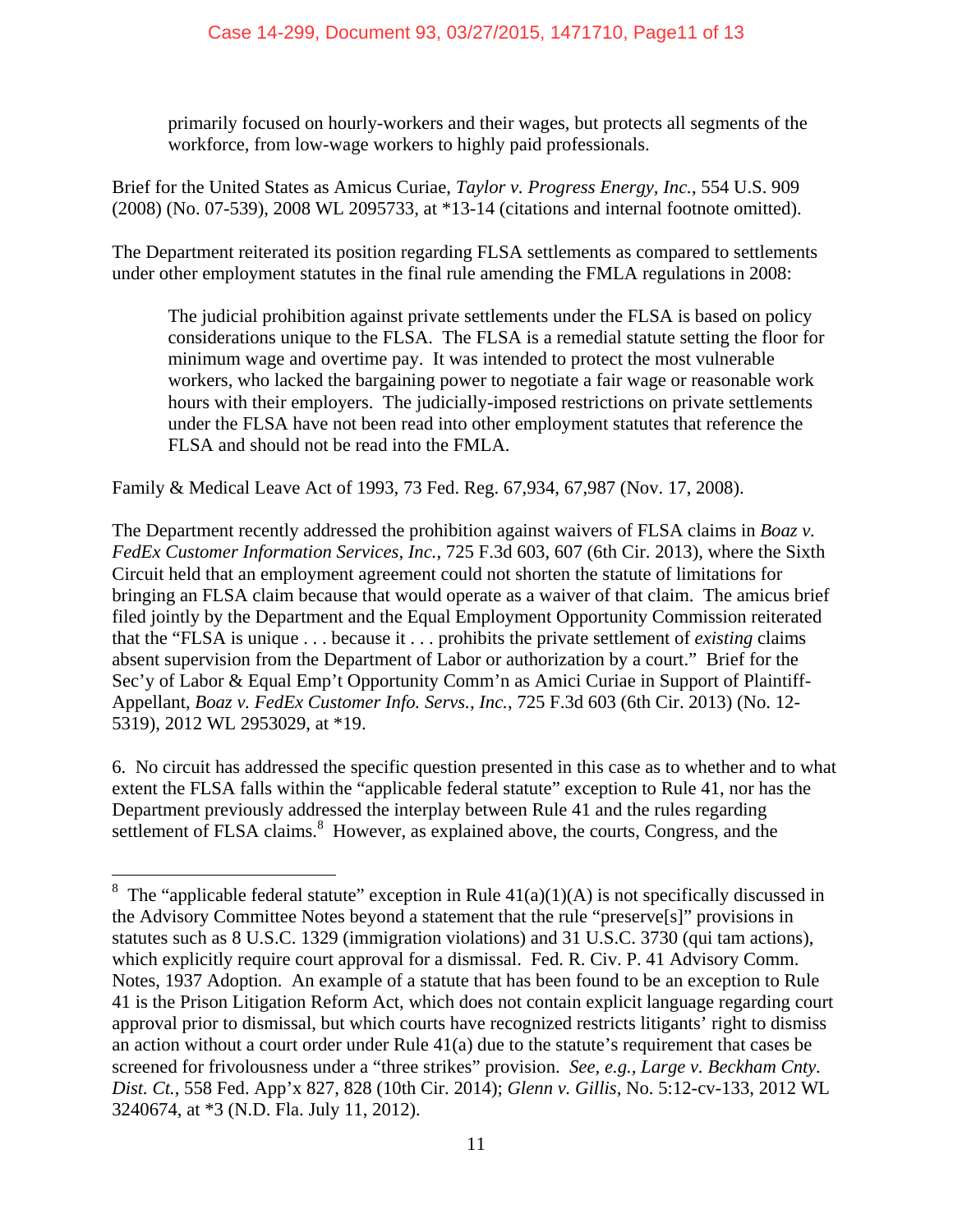primarily focused on hourly-workers and their wages, but protects all segments of the workforce, from low-wage workers to highly paid professionals.

Brief for the United States as Amicus Curiae, *Taylor v. Progress Energy, Inc.*, 554 U.S. 909 (2008) (No. 07-539), 2008 WL 2095733, at \*13-14 (citations and internal footnote omitted).

The Department reiterated its position regarding FLSA settlements as compared to settlements under other employment statutes in the final rule amending the FMLA regulations in 2008:

The judicial prohibition against private settlements under the FLSA is based on policy considerations unique to the FLSA. The FLSA is a remedial statute setting the floor for minimum wage and overtime pay. It was intended to protect the most vulnerable workers, who lacked the bargaining power to negotiate a fair wage or reasonable work hours with their employers. The judicially-imposed restrictions on private settlements under the FLSA have not been read into other employment statutes that reference the FLSA and should not be read into the FMLA.

Family & Medical Leave Act of 1993, 73 Fed. Reg. 67,934, 67,987 (Nov. 17, 2008).

The Department recently addressed the prohibition against waivers of FLSA claims in *Boaz v. FedEx Customer Information Services, Inc.*, 725 F.3d 603, 607 (6th Cir. 2013), where the Sixth Circuit held that an employment agreement could not shorten the statute of limitations for bringing an FLSA claim because that would operate as a waiver of that claim. The amicus brief filed jointly by the Department and the Equal Employment Opportunity Commission reiterated that the "FLSA is unique . . . because it . . . prohibits the private settlement of *existing* claims absent supervision from the Department of Labor or authorization by a court." Brief for the Sec'y of Labor & Equal Emp't Opportunity Comm'n as Amici Curiae in Support of Plaintiff-Appellant, *Boaz v. FedEx Customer Info. Servs., Inc.*, 725 F.3d 603 (6th Cir. 2013) (No. 12- 5319), 2012 WL 2953029, at \*19.

6. No circuit has addressed the specific question presented in this case as to whether and to what extent the FLSA falls within the "applicable federal statute" exception to Rule 41, nor has the Department previously addressed the interplay between Rule 41 and the rules regarding settlement of FLSA claims.<sup>8</sup> However, as explained above, the courts, Congress, and the

<sup>&</sup>lt;sup>8</sup> The "applicable federal statute" exception in Rule  $41(a)(1)(A)$  is not specifically discussed in the Advisory Committee Notes beyond a statement that the rule "preserve[s]" provisions in statutes such as 8 U.S.C. 1329 (immigration violations) and 31 U.S.C. 3730 (qui tam actions), which explicitly require court approval for a dismissal. Fed. R. Civ. P. 41 Advisory Comm. Notes, 1937 Adoption. An example of a statute that has been found to be an exception to Rule 41 is the Prison Litigation Reform Act, which does not contain explicit language regarding court approval prior to dismissal, but which courts have recognized restricts litigants' right to dismiss an action without a court order under Rule 41(a) due to the statute's requirement that cases be screened for frivolousness under a "three strikes" provision. *See, e.g., Large v. Beckham Cnty. Dist. Ct.*, 558 Fed. App'x 827, 828 (10th Cir. 2014); *Glenn v. Gillis*, No. 5:12-cv-133, 2012 WL 3240674, at \*3 (N.D. Fla. July 11, 2012).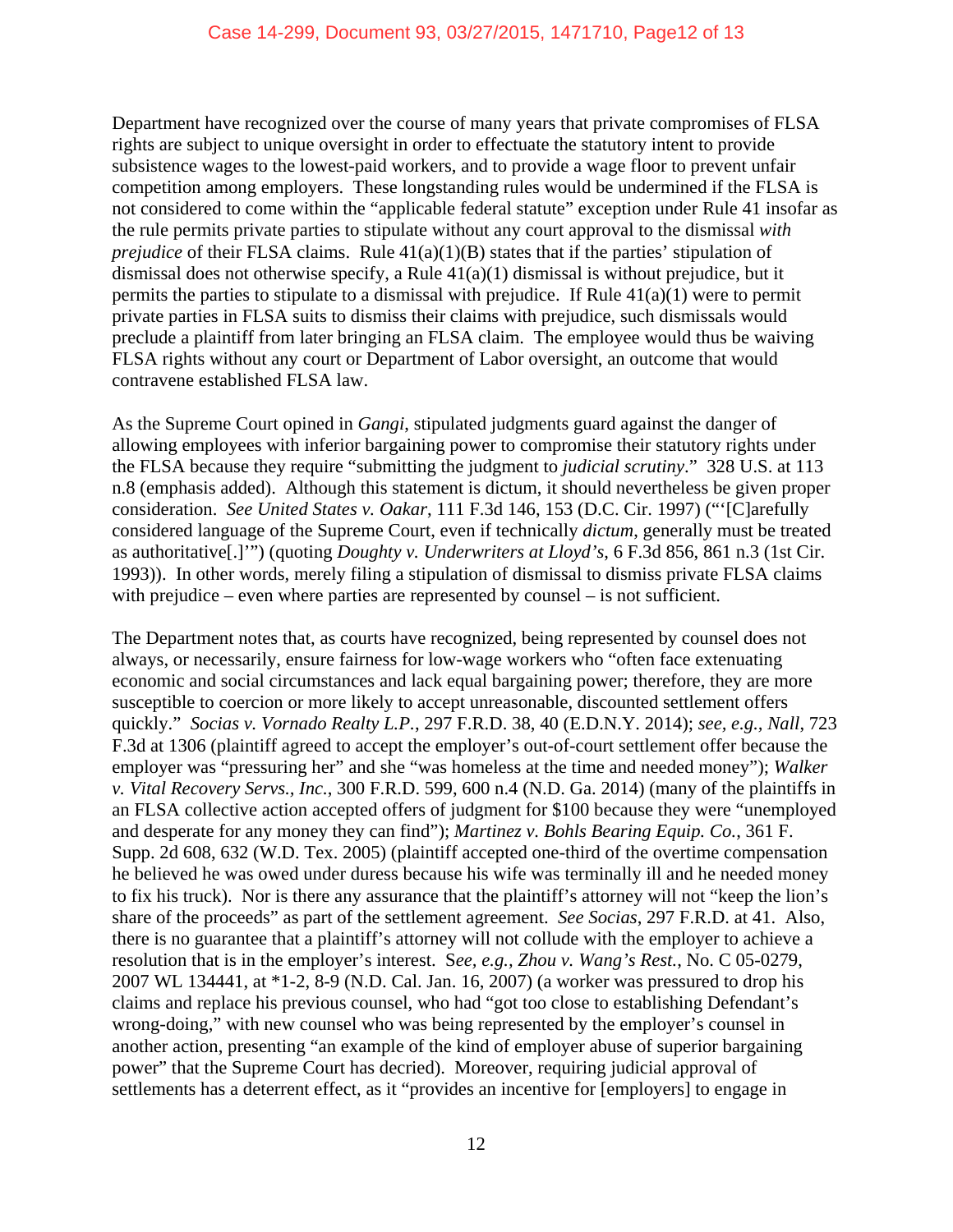Department have recognized over the course of many years that private compromises of FLSA rights are subject to unique oversight in order to effectuate the statutory intent to provide subsistence wages to the lowest-paid workers, and to provide a wage floor to prevent unfair competition among employers. These longstanding rules would be undermined if the FLSA is not considered to come within the "applicable federal statute" exception under Rule 41 insofar as the rule permits private parties to stipulate without any court approval to the dismissal *with prejudice* of their FLSA claims. Rule  $41(a)(1)(B)$  states that if the parties' stipulation of dismissal does not otherwise specify, a Rule 41(a)(1) dismissal is without prejudice, but it permits the parties to stipulate to a dismissal with prejudice. If Rule 41(a)(1) were to permit private parties in FLSA suits to dismiss their claims with prejudice, such dismissals would preclude a plaintiff from later bringing an FLSA claim. The employee would thus be waiving FLSA rights without any court or Department of Labor oversight, an outcome that would contravene established FLSA law.

As the Supreme Court opined in *Gangi*, stipulated judgments guard against the danger of allowing employees with inferior bargaining power to compromise their statutory rights under the FLSA because they require "submitting the judgment to *judicial scrutiny*." 328 U.S. at 113 n.8 (emphasis added). Although this statement is dictum, it should nevertheless be given proper consideration. *See United States v. Oakar*, 111 F.3d 146, 153 (D.C. Cir. 1997) ("'[C]arefully considered language of the Supreme Court, even if technically *dictum*, generally must be treated as authoritative[.]'") (quoting *Doughty v. Underwriters at Lloyd's*, 6 F.3d 856, 861 n.3 (1st Cir. 1993)). In other words, merely filing a stipulation of dismissal to dismiss private FLSA claims with prejudice – even where parties are represented by counsel – is not sufficient.

The Department notes that, as courts have recognized, being represented by counsel does not always, or necessarily, ensure fairness for low-wage workers who "often face extenuating economic and social circumstances and lack equal bargaining power; therefore, they are more susceptible to coercion or more likely to accept unreasonable, discounted settlement offers quickly." *Socias v. Vornado Realty L.P.*, 297 F.R.D. 38, 40 (E.D.N.Y. 2014); *see, e.g., Nall*, 723 F.3d at 1306 (plaintiff agreed to accept the employer's out-of-court settlement offer because the employer was "pressuring her" and she "was homeless at the time and needed money"); *Walker v. Vital Recovery Servs., Inc.*, 300 F.R.D. 599, 600 n.4 (N.D. Ga. 2014) (many of the plaintiffs in an FLSA collective action accepted offers of judgment for \$100 because they were "unemployed and desperate for any money they can find"); *Martinez v. Bohls Bearing Equip. Co.*, 361 F. Supp. 2d 608, 632 (W.D. Tex. 2005) (plaintiff accepted one-third of the overtime compensation he believed he was owed under duress because his wife was terminally ill and he needed money to fix his truck). Nor is there any assurance that the plaintiff's attorney will not "keep the lion's share of the proceeds" as part of the settlement agreement. *See Socias*, 297 F.R.D. at 41. Also, there is no guarantee that a plaintiff's attorney will not collude with the employer to achieve a resolution that is in the employer's interest. S*ee, e.g., Zhou v. Wang's Rest.*, No. C 05-0279, 2007 WL 134441, at \*1-2, 8-9 (N.D. Cal. Jan. 16, 2007) (a worker was pressured to drop his claims and replace his previous counsel, who had "got too close to establishing Defendant's wrong-doing," with new counsel who was being represented by the employer's counsel in another action, presenting "an example of the kind of employer abuse of superior bargaining power" that the Supreme Court has decried). Moreover, requiring judicial approval of settlements has a deterrent effect, as it "provides an incentive for [employers] to engage in